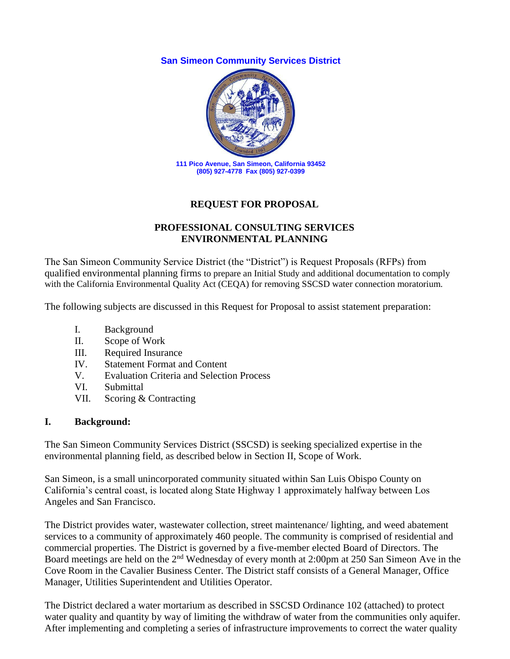**San Simeon Community Services District**



## **REQUEST FOR PROPOSAL**

#### **PROFESSIONAL CONSULTING SERVICES ENVIRONMENTAL PLANNING**

The San Simeon Community Service District (the "District") is Request Proposals (RFPs) from qualified environmental planning firms to prepare an Initial Study and additional documentation to comply with the California Environmental Quality Act (CEQA) for removing SSCSD water connection moratorium.

The following subjects are discussed in this Request for Proposal to assist statement preparation:

- I. Background
- II. Scope of Work
- III. Required Insurance
- IV. Statement Format and Content
- V. Evaluation Criteria and Selection Process
- VI. Submittal
- VII. Scoring & Contracting

#### **I. Background:**

The San Simeon Community Services District (SSCSD) is seeking specialized expertise in the environmental planning field, as described below in Section II, Scope of Work.

San Simeon, is a small unincorporated community situated within San Luis Obispo County on California's central coast, is located along State Highway 1 approximately halfway between Los Angeles and San Francisco.

The District provides water, wastewater collection, street maintenance/ lighting, and weed abatement services to a community of approximately 460 people. The community is comprised of residential and commercial properties. The District is governed by a five-member elected Board of Directors. The Board meetings are held on the 2<sup>nd</sup> Wednesday of every month at 2:00pm at 250 San Simeon Ave in the Cove Room in the Cavalier Business Center. The District staff consists of a General Manager, Office Manager, Utilities Superintendent and Utilities Operator.

The District declared a water mortarium as described in SSCSD Ordinance 102 (attached) to protect water quality and quantity by way of limiting the withdraw of water from the communities only aquifer. After implementing and completing a series of infrastructure improvements to correct the water quality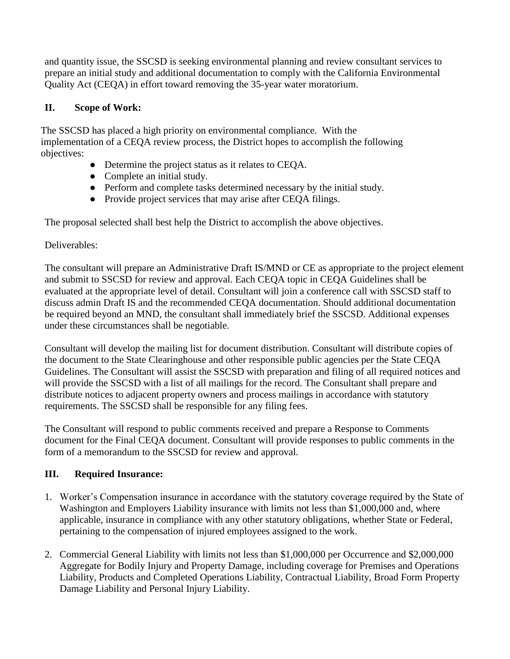and quantity issue, the SSCSD is seeking environmental planning and review consultant services to prepare an initial study and additional documentation to comply with the California Environmental Quality Act (CEQA) in effort toward removing the 35-year water moratorium.

# **II. Scope of Work:**

The SSCSD has placed a high priority on environmental compliance. With the implementation of a CEQA review process, the District hopes to accomplish the following objectives:

- Determine the project status as it relates to CEQA.
- Complete an initial study.
- Perform and complete tasks determined necessary by the initial study.
- Provide project services that may arise after CEQA filings.

The proposal selected shall best help the District to accomplish the above objectives.

## Deliverables:

The consultant will prepare an Administrative Draft IS/MND or CE as appropriate to the project element and submit to SSCSD for review and approval. Each CEQA topic in CEQA Guidelines shall be evaluated at the appropriate level of detail. Consultant will join a conference call with SSCSD staff to discuss admin Draft IS and the recommended CEQA documentation. Should additional documentation be required beyond an MND, the consultant shall immediately brief the SSCSD. Additional expenses under these circumstances shall be negotiable.

Consultant will develop the mailing list for document distribution. Consultant will distribute copies of the document to the State Clearinghouse and other responsible public agencies per the State CEQA Guidelines. The Consultant will assist the SSCSD with preparation and filing of all required notices and will provide the SSCSD with a list of all mailings for the record. The Consultant shall prepare and distribute notices to adjacent property owners and process mailings in accordance with statutory requirements. The SSCSD shall be responsible for any filing fees.

The Consultant will respond to public comments received and prepare a Response to Comments document for the Final CEQA document. Consultant will provide responses to public comments in the form of a memorandum to the SSCSD for review and approval.

# **III. Required Insurance:**

- 1. Worker's Compensation insurance in accordance with the statutory coverage required by the State of Washington and Employers Liability insurance with limits not less than \$1,000,000 and, where applicable, insurance in compliance with any other statutory obligations, whether State or Federal, pertaining to the compensation of injured employees assigned to the work.
- 2. Commercial General Liability with limits not less than \$1,000,000 per Occurrence and \$2,000,000 Aggregate for Bodily Injury and Property Damage, including coverage for Premises and Operations Liability, Products and Completed Operations Liability, Contractual Liability, Broad Form Property Damage Liability and Personal Injury Liability.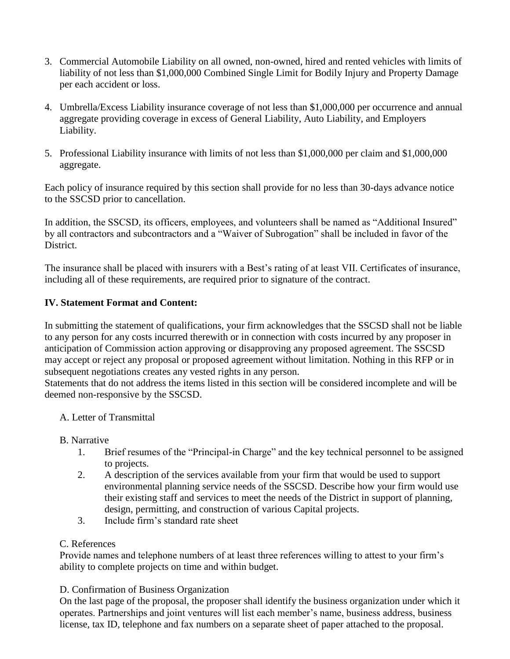- 3. Commercial Automobile Liability on all owned, non-owned, hired and rented vehicles with limits of liability of not less than \$1,000,000 Combined Single Limit for Bodily Injury and Property Damage per each accident or loss.
- 4. Umbrella/Excess Liability insurance coverage of not less than \$1,000,000 per occurrence and annual aggregate providing coverage in excess of General Liability, Auto Liability, and Employers Liability.
- 5. Professional Liability insurance with limits of not less than \$1,000,000 per claim and \$1,000,000 aggregate.

Each policy of insurance required by this section shall provide for no less than 30-days advance notice to the SSCSD prior to cancellation.

In addition, the SSCSD, its officers, employees, and volunteers shall be named as "Additional Insured" by all contractors and subcontractors and a "Waiver of Subrogation" shall be included in favor of the District.

The insurance shall be placed with insurers with a Best's rating of at least VII. Certificates of insurance, including all of these requirements, are required prior to signature of the contract.

## **IV. Statement Format and Content:**

In submitting the statement of qualifications, your firm acknowledges that the SSCSD shall not be liable to any person for any costs incurred therewith or in connection with costs incurred by any proposer in anticipation of Commission action approving or disapproving any proposed agreement. The SSCSD may accept or reject any proposal or proposed agreement without limitation. Nothing in this RFP or in subsequent negotiations creates any vested rights in any person.

Statements that do not address the items listed in this section will be considered incomplete and will be deemed non-responsive by the SSCSD.

#### A. Letter of Transmittal

#### B. Narrative

- 1. Brief resumes of the "Principal-in Charge" and the key technical personnel to be assigned to projects.
- 2. A description of the services available from your firm that would be used to support environmental planning service needs of the SSCSD. Describe how your firm would use their existing staff and services to meet the needs of the District in support of planning, design, permitting, and construction of various Capital projects.
- 3. Include firm's standard rate sheet

#### C. References

Provide names and telephone numbers of at least three references willing to attest to your firm's ability to complete projects on time and within budget.

#### D. Confirmation of Business Organization

On the last page of the proposal, the proposer shall identify the business organization under which it operates. Partnerships and joint ventures will list each member's name, business address, business license, tax ID, telephone and fax numbers on a separate sheet of paper attached to the proposal.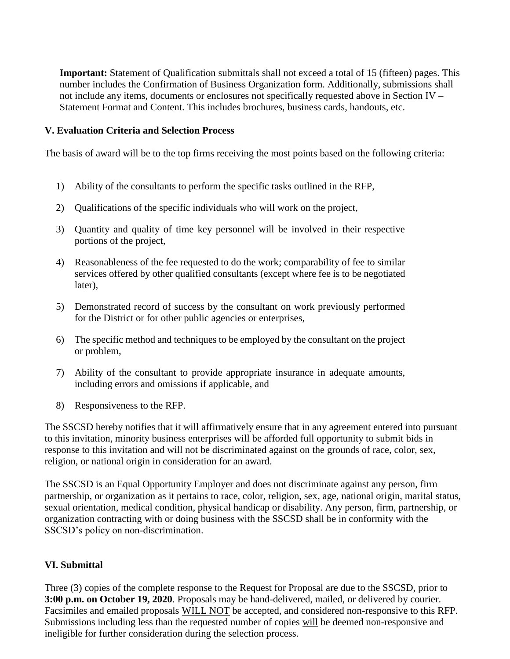**Important:** Statement of Qualification submittals shall not exceed a total of 15 (fifteen) pages. This number includes the Confirmation of Business Organization form. Additionally, submissions shall not include any items, documents or enclosures not specifically requested above in Section IV – Statement Format and Content. This includes brochures, business cards, handouts, etc.

#### **V. Evaluation Criteria and Selection Process**

The basis of award will be to the top firms receiving the most points based on the following criteria:

- 1) Ability of the consultants to perform the specific tasks outlined in the RFP,
- 2) Qualifications of the specific individuals who will work on the project,
- 3) Quantity and quality of time key personnel will be involved in their respective portions of the project,
- 4) Reasonableness of the fee requested to do the work; comparability of fee to similar services offered by other qualified consultants (except where fee is to be negotiated later),
- 5) Demonstrated record of success by the consultant on work previously performed for the District or for other public agencies or enterprises,
- 6) The specific method and techniques to be employed by the consultant on the project or problem,
- 7) Ability of the consultant to provide appropriate insurance in adequate amounts, including errors and omissions if applicable, and
- 8) Responsiveness to the RFP.

The SSCSD hereby notifies that it will affirmatively ensure that in any agreement entered into pursuant to this invitation, minority business enterprises will be afforded full opportunity to submit bids in response to this invitation and will not be discriminated against on the grounds of race, color, sex, religion, or national origin in consideration for an award.

The SSCSD is an Equal Opportunity Employer and does not discriminate against any person, firm partnership, or organization as it pertains to race, color, religion, sex, age, national origin, marital status, sexual orientation, medical condition, physical handicap or disability. Any person, firm, partnership, or organization contracting with or doing business with the SSCSD shall be in conformity with the SSCSD's policy on non-discrimination.

#### **VI. Submittal**

Three (3) copies of the complete response to the Request for Proposal are due to the SSCSD, prior to **3:00 p.m. on October 19, 2020**. Proposals may be hand-delivered, mailed, or delivered by courier. Facsimiles and emailed proposals WILL NOT be accepted, and considered non-responsive to this RFP. Submissions including less than the requested number of copies will be deemed non-responsive and ineligible for further consideration during the selection process.